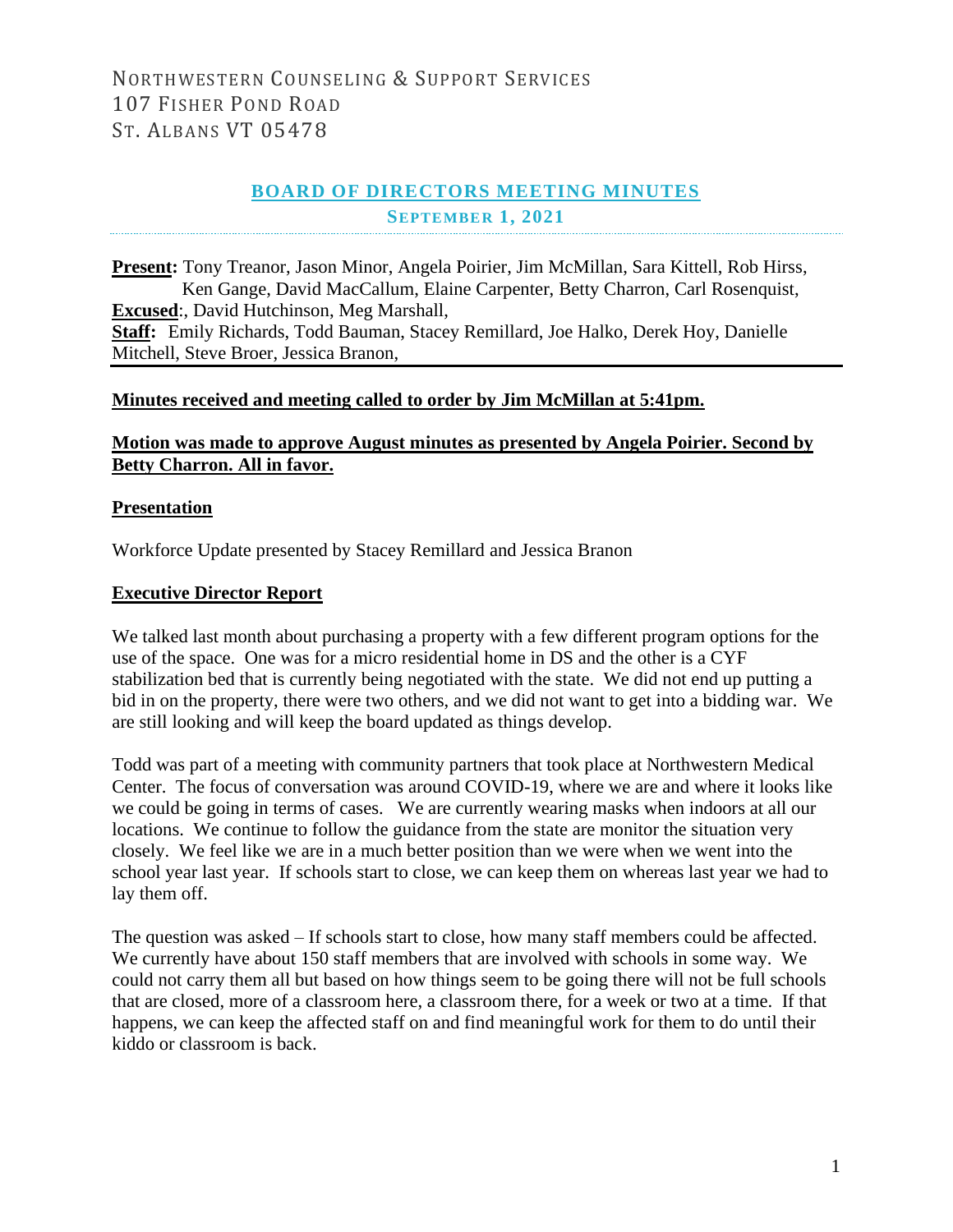## NORTHWESTERN COUNSELING & SUPPORT SERVICES 107 FISHER POND ROAD ST. ALBANS VT 05478

## **BOARD OF DIRECTORS MEETING MINUTES SEPTEMBER 1, 2021**

**Present:** Tony Treanor, Jason Minor, Angela Poirier, Jim McMillan, Sara Kittell, Rob Hirss, Ken Gange, David MacCallum, Elaine Carpenter, Betty Charron, Carl Rosenquist, **Excused**:, David Hutchinson, Meg Marshall, **Staff:** Emily Richards, Todd Bauman, Stacey Remillard, Joe Halko, Derek Hoy, Danielle Mitchell, Steve Broer, Jessica Branon,

#### **Minutes received and meeting called to order by Jim McMillan at 5:41pm.**

### **Motion was made to approve August minutes as presented by Angela Poirier. Second by Betty Charron. All in favor.**

#### **Presentation**

Workforce Update presented by Stacey Remillard and Jessica Branon

## **Executive Director Report**

We talked last month about purchasing a property with a few different program options for the use of the space. One was for a micro residential home in DS and the other is a CYF stabilization bed that is currently being negotiated with the state. We did not end up putting a bid in on the property, there were two others, and we did not want to get into a bidding war. We are still looking and will keep the board updated as things develop.

Todd was part of a meeting with community partners that took place at Northwestern Medical Center. The focus of conversation was around COVID-19, where we are and where it looks like we could be going in terms of cases. We are currently wearing masks when indoors at all our locations. We continue to follow the guidance from the state are monitor the situation very closely. We feel like we are in a much better position than we were when we went into the school year last year. If schools start to close, we can keep them on whereas last year we had to lay them off.

The question was asked – If schools start to close, how many staff members could be affected. We currently have about 150 staff members that are involved with schools in some way. We could not carry them all but based on how things seem to be going there will not be full schools that are closed, more of a classroom here, a classroom there, for a week or two at a time. If that happens, we can keep the affected staff on and find meaningful work for them to do until their kiddo or classroom is back.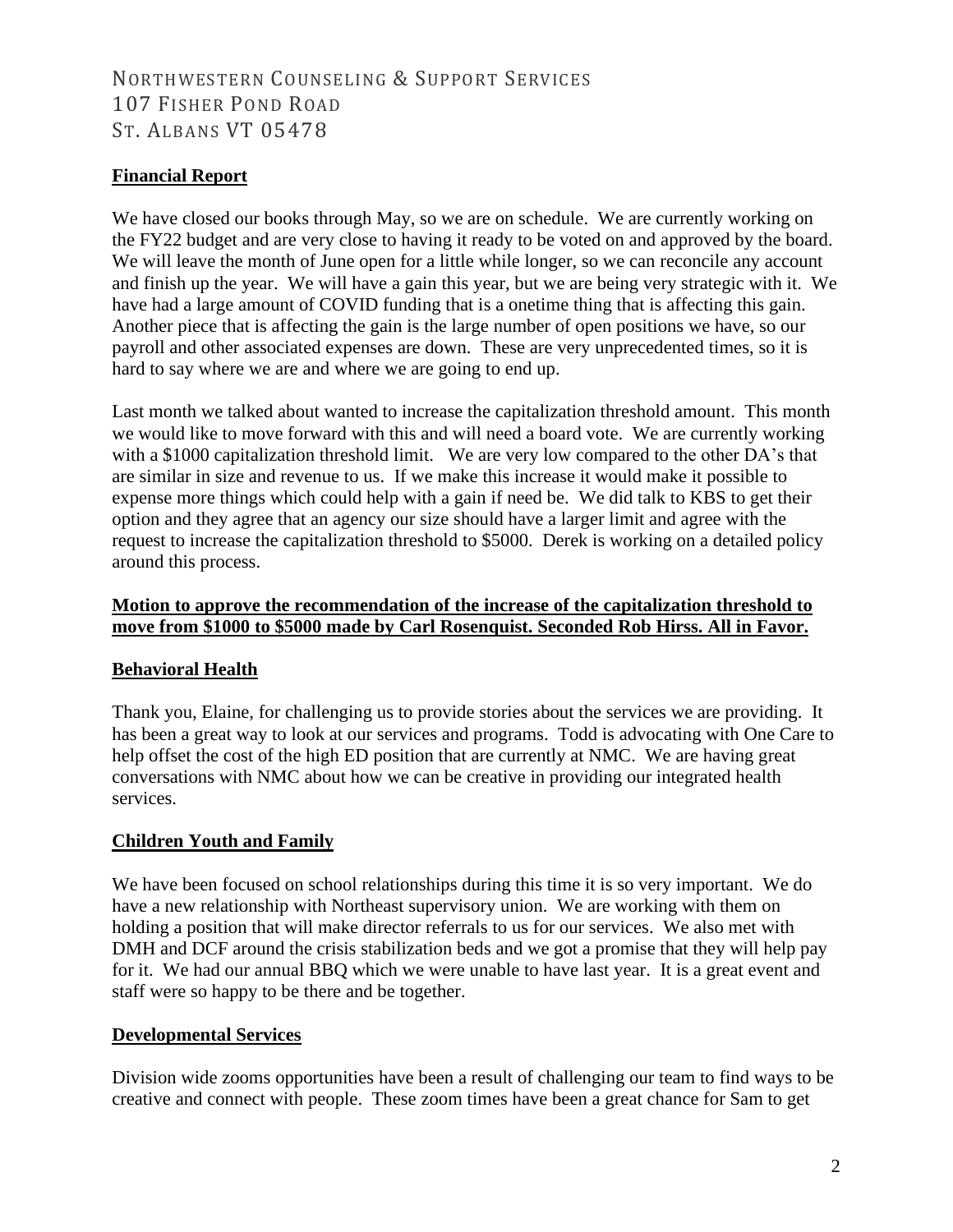# NORTHWESTERN COUNSELING & SUPPORT SERVICES 107 FISHER POND ROAD ST. ALBANS VT 05478

## **Financial Report**

We have closed our books through May, so we are on schedule. We are currently working on the FY22 budget and are very close to having it ready to be voted on and approved by the board. We will leave the month of June open for a little while longer, so we can reconcile any account and finish up the year. We will have a gain this year, but we are being very strategic with it. We have had a large amount of COVID funding that is a onetime thing that is affecting this gain. Another piece that is affecting the gain is the large number of open positions we have, so our payroll and other associated expenses are down. These are very unprecedented times, so it is hard to say where we are and where we are going to end up.

Last month we talked about wanted to increase the capitalization threshold amount. This month we would like to move forward with this and will need a board vote. We are currently working with a \$1000 capitalization threshold limit. We are very low compared to the other DA's that are similar in size and revenue to us. If we make this increase it would make it possible to expense more things which could help with a gain if need be. We did talk to KBS to get their option and they agree that an agency our size should have a larger limit and agree with the request to increase the capitalization threshold to \$5000. Derek is working on a detailed policy around this process.

### **Motion to approve the recommendation of the increase of the capitalization threshold to move from \$1000 to \$5000 made by Carl Rosenquist. Seconded Rob Hirss. All in Favor.**

## **Behavioral Health**

Thank you, Elaine, for challenging us to provide stories about the services we are providing. It has been a great way to look at our services and programs. Todd is advocating with One Care to help offset the cost of the high ED position that are currently at NMC. We are having great conversations with NMC about how we can be creative in providing our integrated health services.

## **Children Youth and Family**

We have been focused on school relationships during this time it is so very important. We do have a new relationship with Northeast supervisory union. We are working with them on holding a position that will make director referrals to us for our services. We also met with DMH and DCF around the crisis stabilization beds and we got a promise that they will help pay for it. We had our annual BBQ which we were unable to have last year. It is a great event and staff were so happy to be there and be together.

#### **Developmental Services**

Division wide zooms opportunities have been a result of challenging our team to find ways to be creative and connect with people. These zoom times have been a great chance for Sam to get